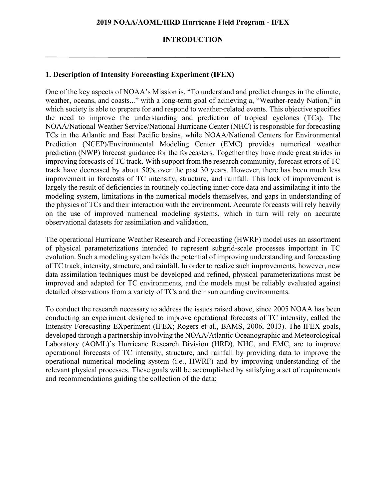#### **INTRODUCTION**

### **1. Description of Intensity Forecasting Experiment (IFEX)**

One of the key aspects of NOAA's Mission is, "To understand and predict changes in the climate, weather, oceans, and coasts..." with a long-term goal of achieving a, "Weather-ready Nation," in which society is able to prepare for and respond to weather-related events. This objective specifies the need to improve the understanding and prediction of tropical cyclones (TCs). The NOAA/National Weather Service/National Hurricane Center (NHC) is responsible for forecasting TCs in the Atlantic and East Pacific basins, while NOAA/National Centers for Environmental Prediction (NCEP)/Environmental Modeling Center (EMC) provides numerical weather prediction (NWP) forecast guidance for the forecasters. Together they have made great strides in improving forecasts of TC track. With support from the research community, forecast errors of TC track have decreased by about 50% over the past 30 years. However, there has been much less improvement in forecasts of TC intensity, structure, and rainfall. This lack of improvement is largely the result of deficiencies in routinely collecting inner-core data and assimilating it into the modeling system, limitations in the numerical models themselves, and gaps in understanding of the physics of TCs and their interaction with the environment. Accurate forecasts will rely heavily on the use of improved numerical modeling systems, which in turn will rely on accurate observational datasets for assimilation and validation.

The operational Hurricane Weather Research and Forecasting (HWRF) model uses an assortment of physical parameterizations intended to represent subgrid-scale processes important in TC evolution. Such a modeling system holds the potential of improving understanding and forecasting of TC track, intensity, structure, and rainfall. In order to realize such improvements, however, new data assimilation techniques must be developed and refined, physical parameterizations must be improved and adapted for TC environments, and the models must be reliably evaluated against detailed observations from a variety of TCs and their surrounding environments.

To conduct the research necessary to address the issues raised above, since 2005 NOAA has been conducting an experiment designed to improve operational forecasts of TC intensity, called the Intensity Forecasting EXperiment (IFEX; Rogers et al., BAMS, 2006, 2013). The IFEX goals, developed through a partnership involving the NOAA/Atlantic Oceanographic and Meteorological Laboratory (AOML)'s Hurricane Research Division (HRD), NHC, and EMC, are to improve operational forecasts of TC intensity, structure, and rainfall by providing data to improve the operational numerical modeling system (i.e., HWRF) and by improving understanding of the relevant physical processes. These goals will be accomplished by satisfying a set of requirements and recommendations guiding the collection of the data: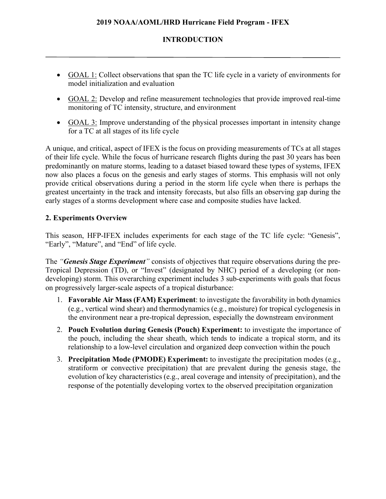## **2019 NOAA/AOML/HRD Hurricane Field Program - IFEX**

### **INTRODUCTION**

- GOAL 1: Collect observations that span the TC life cycle in a variety of environments for model initialization and evaluation
- GOAL 2: Develop and refine measurement technologies that provide improved real-time monitoring of TC intensity, structure, and environment
- GOAL 3: Improve understanding of the physical processes important in intensity change for a TC at all stages of its life cycle

A unique, and critical, aspect of IFEX is the focus on providing measurements of TCs at all stages of their life cycle. While the focus of hurricane research flights during the past 30 years has been predominantly on mature storms, leading to a dataset biased toward these types of systems, IFEX now also places a focus on the genesis and early stages of storms. This emphasis will not only provide critical observations during a period in the storm life cycle when there is perhaps the greatest uncertainty in the track and intensity forecasts, but also fills an observing gap during the early stages of a storms development where case and composite studies have lacked.

## **2. Experiments Overview**

This season, HFP-IFEX includes experiments for each stage of the TC life cycle: "Genesis", "Early", "Mature", and "End" of life cycle.

The *"Genesis Stage Experiment"* consists of objectives that require observations during the pre-Tropical Depression (TD), or "Invest" (designated by NHC) period of a developing (or nondeveloping) storm. This overarching experiment includes 3 sub-experiments with goals that focus on progressively larger-scale aspects of a tropical disturbance:

- 1. **Favorable Air Mass (FAM) Experiment**: to investigate the favorability in both dynamics (e.g., vertical wind shear) and thermodynamics (e.g., moisture) for tropical cyclogenesis in the environment near a pre-tropical depression, especially the downstream environment
- 2. **Pouch Evolution during Genesis (Pouch) Experiment:** to investigate the importance of the pouch, including the shear sheath, which tends to indicate a tropical storm, and its relationship to a low-level circulation and organized deep convection within the pouch
- 3. **Precipitation Mode (PMODE) Experiment:** to investigate the precipitation modes (e.g., stratiform or convective precipitation) that are prevalent during the genesis stage, the evolution of key characteristics (e.g., areal coverage and intensity of precipitation), and the response of the potentially developing vortex to the observed precipitation organization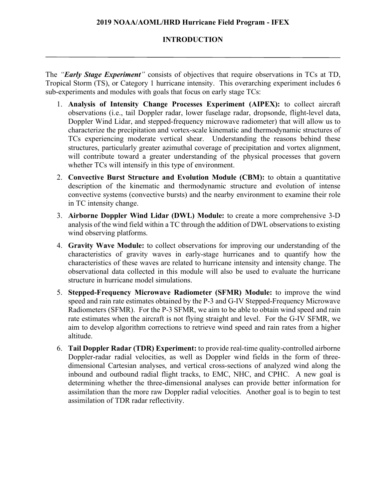#### **2019 NOAA/AOML/HRD Hurricane Field Program - IFEX**

#### **INTRODUCTION**

The *"Early Stage Experiment"* consists of objectives that require observations in TCs at TD, Tropical Storm (TS), or Category 1 hurricane intensity. This overarching experiment includes 6 sub-experiments and modules with goals that focus on early stage TCs:

- 1. **Analysis of Intensity Change Processes Experiment (AIPEX):** to collect aircraft observations (i.e., tail Doppler radar, lower fuselage radar, dropsonde, flight-level data, Doppler Wind Lidar, and stepped-frequency microwave radiometer) that will allow us to characterize the precipitation and vortex-scale kinematic and thermodynamic structures of TCs experiencing moderate vertical shear. Understanding the reasons behind these structures, particularly greater azimuthal coverage of precipitation and vortex alignment, will contribute toward a greater understanding of the physical processes that govern whether TCs will intensify in this type of environment.
- 2. **Convective Burst Structure and Evolution Module (CBM):** to obtain a quantitative description of the kinematic and thermodynamic structure and evolution of intense convective systems (convective bursts) and the nearby environment to examine their role in TC intensity change.
- 3. **Airborne Doppler Wind Lidar (DWL) Module:** to create a more comprehensive 3-D analysis of the wind field within a TC through the addition of DWL observations to existing wind observing platforms.
- 4. **Gravity Wave Module:** to collect observations for improving our understanding of the characteristics of gravity waves in early-stage hurricanes and to quantify how the characteristics of these waves are related to hurricane intensity and intensity change. The observational data collected in this module will also be used to evaluate the hurricane structure in hurricane model simulations.
- 5. **Stepped-Frequency Microwave Radiometer (SFMR) Module:** to improve the wind speed and rain rate estimates obtained by the P-3 and G-IV Stepped-Frequency Microwave Radiometers (SFMR). For the P-3 SFMR, we aim to be able to obtain wind speed and rain rate estimates when the aircraft is not flying straight and level. For the G-IV SFMR, we aim to develop algorithm corrections to retrieve wind speed and rain rates from a higher altitude.
- 6. **Tail Doppler Radar (TDR) Experiment:** to provide real-time quality-controlled airborne Doppler-radar radial velocities, as well as Doppler wind fields in the form of threedimensional Cartesian analyses, and vertical cross-sections of analyzed wind along the inbound and outbound radial flight tracks, to EMC, NHC, and CPHC. A new goal is determining whether the three-dimensional analyses can provide better information for assimilation than the more raw Doppler radial velocities. Another goal is to begin to test assimilation of TDR radar reflectivity.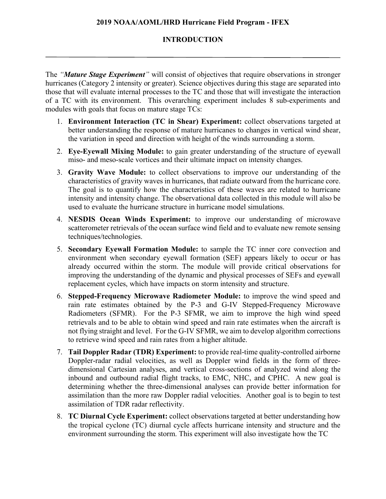### **2019 NOAA/AOML/HRD Hurricane Field Program - IFEX**

### **INTRODUCTION**

The *"Mature Stage Experiment"* will consist of objectives that require observations in stronger hurricanes (Category 2 intensity or greater). Science objectives during this stage are separated into those that will evaluate internal processes to the TC and those that will investigate the interaction of a TC with its environment. This overarching experiment includes 8 sub-experiments and modules with goals that focus on mature stage TCs:

- 1. **Environment Interaction (TC in Shear) Experiment:** collect observations targeted at better understanding the response of mature hurricanes to changes in vertical wind shear, the variation in speed and direction with height of the winds surrounding a storm.
- 2. **Eye-Eyewall Mixing Module:** to gain greater understanding of the structure of eyewall miso- and meso-scale vortices and their ultimate impact on intensity changes.
- 3. **Gravity Wave Module:** to collect observations to improve our understanding of the characteristics of gravity waves in hurricanes, that radiate outward from the hurricane core. The goal is to quantify how the characteristics of these waves are related to hurricane intensity and intensity change. The observational data collected in this module will also be used to evaluate the hurricane structure in hurricane model simulations.
- 4. **NESDIS Ocean Winds Experiment:** to improve our understanding of microwave scatterometer retrievals of the ocean surface wind field and to evaluate new remote sensing techniques/technologies.
- 5. **Secondary Eyewall Formation Module:** to sample the TC inner core convection and environment when secondary eyewall formation (SEF) appears likely to occur or has already occurred within the storm. The module will provide critical observations for improving the understanding of the dynamic and physical processes of SEFs and eyewall replacement cycles, which have impacts on storm intensity and structure.
- 6. **Stepped-Frequency Microwave Radiometer Module:** to improve the wind speed and rain rate estimates obtained by the P-3 and G-IV Stepped-Frequency Microwave Radiometers (SFMR). For the P-3 SFMR, we aim to improve the high wind speed retrievals and to be able to obtain wind speed and rain rate estimates when the aircraft is not flying straight and level. For the G-IV SFMR, we aim to develop algorithm corrections to retrieve wind speed and rain rates from a higher altitude.
- 7. **Tail Doppler Radar (TDR) Experiment:** to provide real-time quality-controlled airborne Doppler-radar radial velocities, as well as Doppler wind fields in the form of threedimensional Cartesian analyses, and vertical cross-sections of analyzed wind along the inbound and outbound radial flight tracks, to EMC, NHC, and CPHC. A new goal is determining whether the three-dimensional analyses can provide better information for assimilation than the more raw Doppler radial velocities. Another goal is to begin to test assimilation of TDR radar reflectivity.
- 8. **TC Diurnal Cycle Experiment:** collect observations targeted at better understanding how the tropical cyclone (TC) diurnal cycle affects hurricane intensity and structure and the environment surrounding the storm. This experiment will also investigate how the TC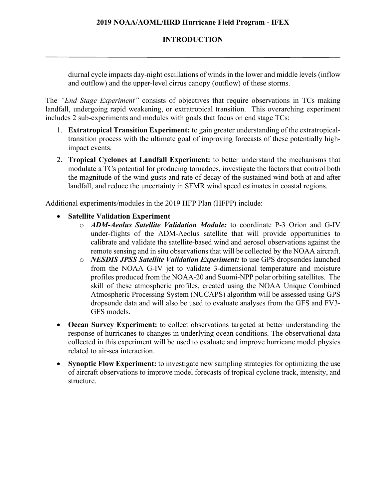## **INTRODUCTION**

diurnal cycle impacts day-night oscillations of winds in the lower and middle levels (inflow and outflow) and the upper-level cirrus canopy (outflow) of these storms.

The *"End Stage Experiment"* consists of objectives that require observations in TCs making landfall, undergoing rapid weakening, or extratropical transition. This overarching experiment includes 2 sub-experiments and modules with goals that focus on end stage TCs:

- 1. **Extratropical Transition Experiment:** to gain greater understanding of the extratropicaltransition process with the ultimate goal of improving forecasts of these potentially highimpact events.
- 2. **Tropical Cyclones at Landfall Experiment:** to better understand the mechanisms that modulate a TCs potential for producing tornadoes, investigate the factors that control both the magnitude of the wind gusts and rate of decay of the sustained wind both at and after landfall, and reduce the uncertainty in SFMR wind speed estimates in coastal regions.

Additional experiments/modules in the 2019 HFP Plan (HFPP) include:

- **Satellite Validation Experiment**
	- o *ADM-Aeolus Satellite Validation Module:* to coordinate P-3 Orion and G-IV under-flights of the ADM-Aeolus satellite that will provide opportunities to calibrate and validate the satellite-based wind and aerosol observations against the remote sensing and in situ observations that will be collected by the NOAA aircraft.
	- o *NESDIS JPSS Satellite Validation Experiment:* to use GPS dropsondes launched from the NOAA G-IV jet to validate 3-dimensional temperature and moisture profiles produced from the NOAA-20 and Suomi-NPP polar orbiting satellites. The skill of these atmospheric profiles, created using the NOAA Unique Combined Atmospheric Processing System (NUCAPS) algorithm will be assessed using GPS dropsonde data and will also be used to evaluate analyses from the GFS and FV3- GFS models.
- **Ocean Survey Experiment:** to collect observations targeted at better understanding the response of hurricanes to changes in underlying ocean conditions. The observational data collected in this experiment will be used to evaluate and improve hurricane model physics related to air-sea interaction.
- **Synoptic Flow Experiment:** to investigate new sampling strategies for optimizing the use of aircraft observations to improve model forecasts of tropical cyclone track, intensity, and structure.